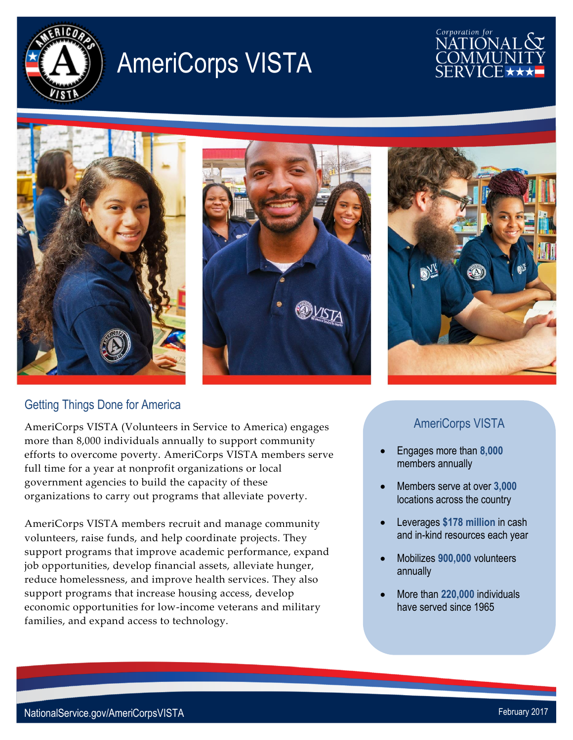

# AmeriCorps VISTA

## Corporation for NATIONAI







### Getting Things Done for America

AmeriCorps VISTA (Volunteers in Service to America) engages more than 8,000 individuals annually to support community efforts to overcome poverty. AmeriCorps VISTA members serve full time for a year at nonprofit organizations or local government agencies to build the capacity of these organizations to carry out programs that alleviate poverty.

AmeriCorps VISTA members recruit and manage community volunteers, raise funds, and help coordinate projects. They support programs that improve academic performance, expand job opportunities, develop financial assets, alleviate hunger, reduce homelessness, and improve health services. They also support programs that increase housing access, develop economic opportunities for low-income veterans and military families, and expand access to technology.

## AmeriCorps VISTA

- Engages more than **8,000** members annually
- Members serve at over **3,000** locations across the country
- Leverages **\$178 million** in cash and in-kind resources each year
- Mobilizes **900,000** volunteers annually
- More than **220,000** individuals have served since 1965